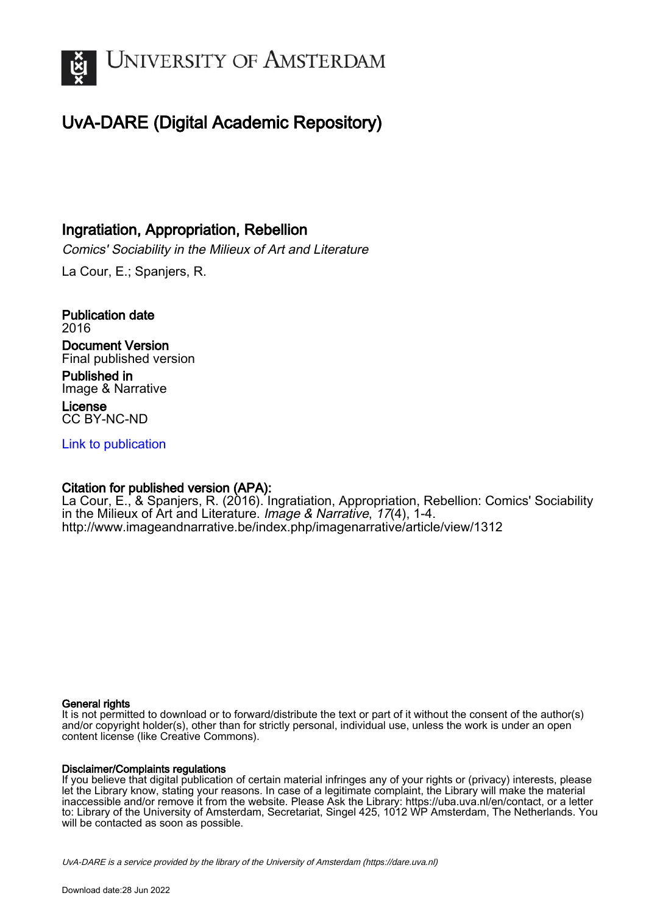

# UvA-DARE (Digital Academic Repository)

## Ingratiation, Appropriation, Rebellion

Comics' Sociability in the Milieux of Art and Literature

La Cour, E.; Spanjers, R.

Publication date 2016 Document Version Final published version Published in Image & Narrative

License CC BY-NC-ND

[Link to publication](https://dare.uva.nl/personal/pure/en/publications/ingratiation-appropriation-rebellion(a9a276ce-5158-4fe0-97f7-460c7e65a458).html)

### Citation for published version (APA):

La Cour, E., & Spanjers, R. (2016). Ingratiation, Appropriation, Rebellion: Comics' Sociability in the Milieux of Art and Literature. Image & Narrative, 17(4), 1-4. <http://www.imageandnarrative.be/index.php/imagenarrative/article/view/1312>

#### General rights

It is not permitted to download or to forward/distribute the text or part of it without the consent of the author(s) and/or copyright holder(s), other than for strictly personal, individual use, unless the work is under an open content license (like Creative Commons).

#### Disclaimer/Complaints regulations

If you believe that digital publication of certain material infringes any of your rights or (privacy) interests, please let the Library know, stating your reasons. In case of a legitimate complaint, the Library will make the material inaccessible and/or remove it from the website. Please Ask the Library: https://uba.uva.nl/en/contact, or a letter to: Library of the University of Amsterdam, Secretariat, Singel 425, 1012 WP Amsterdam, The Netherlands. You will be contacted as soon as possible.

UvA-DARE is a service provided by the library of the University of Amsterdam (http*s*://dare.uva.nl)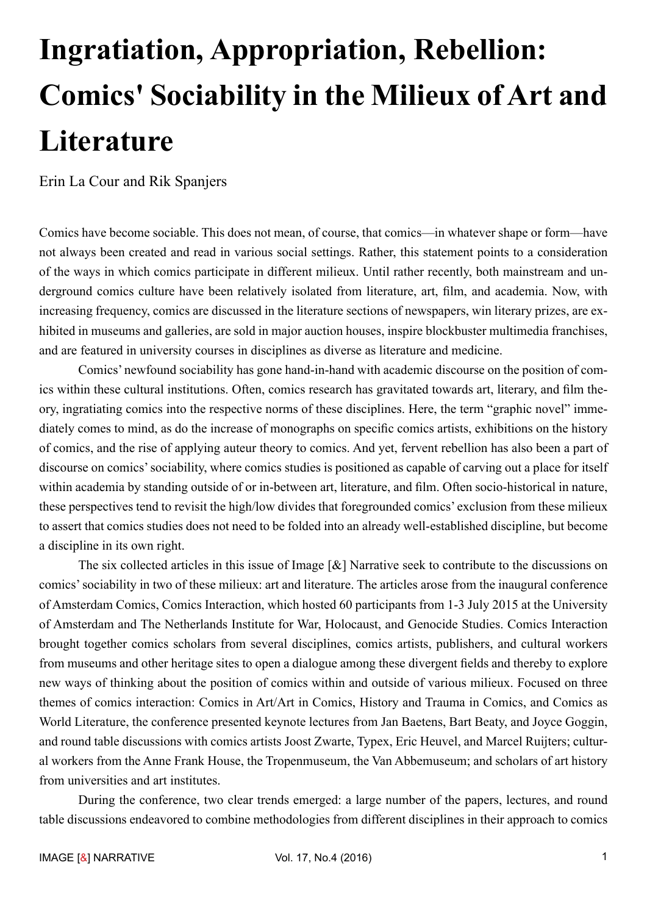# **Ingratiation, Appropriation, Rebellion: Comics' Sociability in the Milieux of Art and Literature**

Erin La Cour and Rik Spanjers

Comics have become sociable. This does not mean, of course, that comics—in whatever shape or form—have not always been created and read in various social settings. Rather, this statement points to a consideration of the ways in which comics participate in different milieux. Until rather recently, both mainstream and underground comics culture have been relatively isolated from literature, art, film, and academia. Now, with increasing frequency, comics are discussed in the literature sections of newspapers, win literary prizes, are exhibited in museums and galleries, are sold in major auction houses, inspire blockbuster multimedia franchises, and are featured in university courses in disciplines as diverse as literature and medicine.

Comics' newfound sociability has gone hand-in-hand with academic discourse on the position of comics within these cultural institutions. Often, comics research has gravitated towards art, literary, and film theory, ingratiating comics into the respective norms of these disciplines. Here, the term "graphic novel" immediately comes to mind, as do the increase of monographs on specific comics artists, exhibitions on the history of comics, and the rise of applying auteur theory to comics. And yet, fervent rebellion has also been a part of discourse on comics' sociability, where comics studies is positioned as capable of carving out a place for itself within academia by standing outside of or in-between art, literature, and film. Often socio-historical in nature, these perspectives tend to revisit the high/low divides that foregrounded comics' exclusion from these milieux to assert that comics studies does not need to be folded into an already well-established discipline, but become a discipline in its own right.

The six collected articles in this issue of Image [&] Narrative seek to contribute to the discussions on comics' sociability in two of these milieux: art and literature. The articles arose from the inaugural conference of Amsterdam Comics, Comics Interaction, which hosted 60 participants from 1-3 July 2015 at the University of Amsterdam and The Netherlands Institute for War, Holocaust, and Genocide Studies. Comics Interaction brought together comics scholars from several disciplines, comics artists, publishers, and cultural workers from museums and other heritage sites to open a dialogue among these divergent fields and thereby to explore new ways of thinking about the position of comics within and outside of various milieux. Focused on three themes of comics interaction: Comics in Art/Art in Comics, History and Trauma in Comics, and Comics as World Literature, the conference presented keynote lectures from Jan Baetens, Bart Beaty, and Joyce Goggin, and round table discussions with comics artists Joost Zwarte, Typex, Eric Heuvel, and Marcel Ruijters; cultural workers from the Anne Frank House, the Tropenmuseum, the Van Abbemuseum; and scholars of art history from universities and art institutes.

During the conference, two clear trends emerged: a large number of the papers, lectures, and round table discussions endeavored to combine methodologies from different disciplines in their approach to comics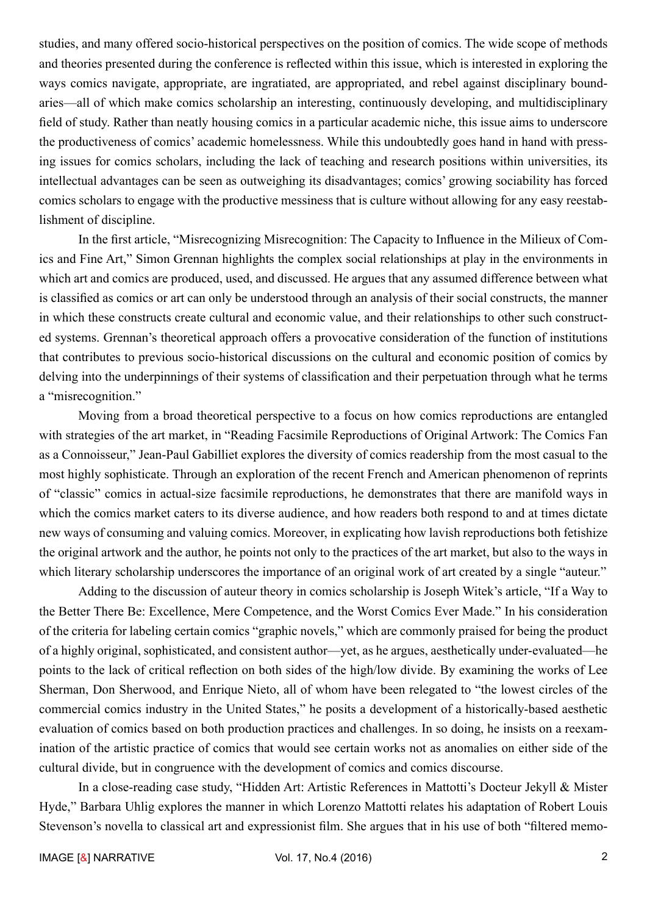studies, and many offered socio-historical perspectives on the position of comics. The wide scope of methods and theories presented during the conference is reflected within this issue, which is interested in exploring the ways comics navigate, appropriate, are ingratiated, are appropriated, and rebel against disciplinary boundaries—all of which make comics scholarship an interesting, continuously developing, and multidisciplinary field of study. Rather than neatly housing comics in a particular academic niche, this issue aims to underscore the productiveness of comics' academic homelessness. While this undoubtedly goes hand in hand with pressing issues for comics scholars, including the lack of teaching and research positions within universities, its intellectual advantages can be seen as outweighing its disadvantages; comics' growing sociability has forced comics scholars to engage with the productive messiness that is culture without allowing for any easy reestablishment of discipline.

In the first article, "Misrecognizing Misrecognition: The Capacity to Influence in the Milieux of Comics and Fine Art," Simon Grennan highlights the complex social relationships at play in the environments in which art and comics are produced, used, and discussed. He argues that any assumed difference between what is classified as comics or art can only be understood through an analysis of their social constructs, the manner in which these constructs create cultural and economic value, and their relationships to other such constructed systems. Grennan's theoretical approach offers a provocative consideration of the function of institutions that contributes to previous socio-historical discussions on the cultural and economic position of comics by delving into the underpinnings of their systems of classification and their perpetuation through what he terms a "misrecognition."

Moving from a broad theoretical perspective to a focus on how comics reproductions are entangled with strategies of the art market, in "Reading Facsimile Reproductions of Original Artwork: The Comics Fan as a Connoisseur," Jean-Paul Gabilliet explores the diversity of comics readership from the most casual to the most highly sophisticate. Through an exploration of the recent French and American phenomenon of reprints of "classic" comics in actual-size facsimile reproductions, he demonstrates that there are manifold ways in which the comics market caters to its diverse audience, and how readers both respond to and at times dictate new ways of consuming and valuing comics. Moreover, in explicating how lavish reproductions both fetishize the original artwork and the author, he points not only to the practices of the art market, but also to the ways in which literary scholarship underscores the importance of an original work of art created by a single "auteur."

Adding to the discussion of auteur theory in comics scholarship is Joseph Witek's article, "If a Way to the Better There Be: Excellence, Mere Competence, and the Worst Comics Ever Made." In his consideration of the criteria for labeling certain comics "graphic novels," which are commonly praised for being the product of a highly original, sophisticated, and consistent author—yet, as he argues, aesthetically under-evaluated—he points to the lack of critical reflection on both sides of the high/low divide. By examining the works of Lee Sherman, Don Sherwood, and Enrique Nieto, all of whom have been relegated to "the lowest circles of the commercial comics industry in the United States," he posits a development of a historically-based aesthetic evaluation of comics based on both production practices and challenges. In so doing, he insists on a reexamination of the artistic practice of comics that would see certain works not as anomalies on either side of the cultural divide, but in congruence with the development of comics and comics discourse.

In a close-reading case study, "Hidden Art: Artistic References in Mattotti's Docteur Jekyll & Mister Hyde," Barbara Uhlig explores the manner in which Lorenzo Mattotti relates his adaptation of Robert Louis Stevenson's novella to classical art and expressionist film. She argues that in his use of both "filtered memo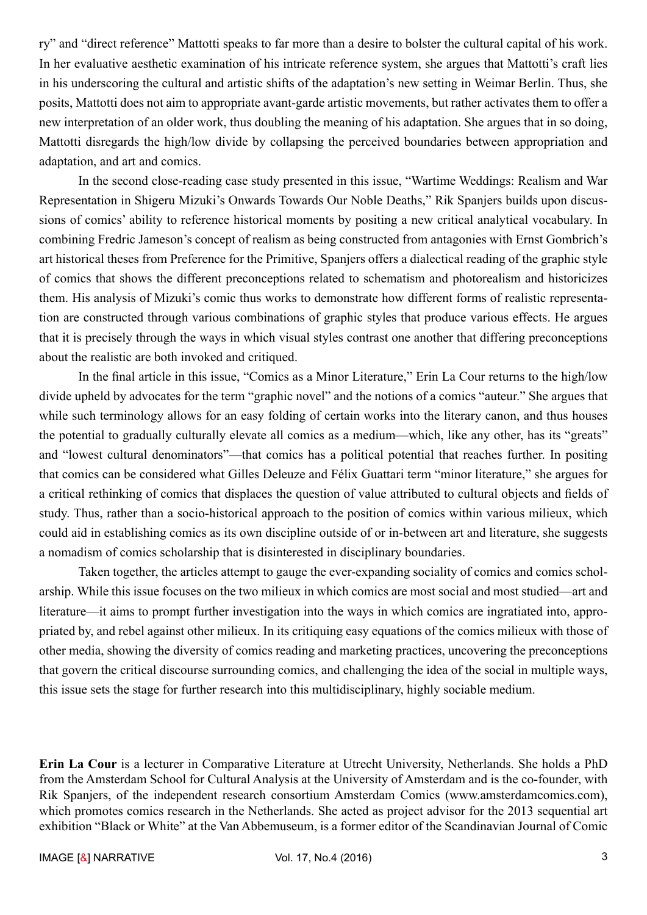ry" and "direct reference" Mattotti speaks to far more than a desire to bolster the cultural capital of his work. In her evaluative aesthetic examination of his intricate reference system, she argues that Mattotti's craft lies in his underscoring the cultural and artistic shifts of the adaptation's new setting in Weimar Berlin. Thus, she posits, Mattotti does not aim to appropriate avant-garde artistic movements, but rather activates them to offer a new interpretation of an older work, thus doubling the meaning of his adaptation. She argues that in so doing, Mattotti disregards the high/low divide by collapsing the perceived boundaries between appropriation and adaptation, and art and comics.

In the second close-reading case study presented in this issue, "Wartime Weddings: Realism and War Representation in Shigeru Mizuki's Onwards Towards Our Noble Deaths," Rik Spanjers builds upon discussions of comics' ability to reference historical moments by positing a new critical analytical vocabulary. In combining Fredric Jameson's concept of realism as being constructed from antagonies with Ernst Gombrich's art historical theses from Preference for the Primitive, Spanjers offers a dialectical reading of the graphic style of comics that shows the different preconceptions related to schematism and photorealism and historicizes them. His analysis of Mizuki's comic thus works to demonstrate how different forms of realistic representation are constructed through various combinations of graphic styles that produce various effects. He argues that it is precisely through the ways in which visual styles contrast one another that differing preconceptions about the realistic are both invoked and critiqued.

In the final article in this issue, "Comics as a Minor Literature," Erin La Cour returns to the high/low divide upheld by advocates for the term "graphic novel" and the notions of a comics "auteur." She argues that while such terminology allows for an easy folding of certain works into the literary canon, and thus houses the potential to gradually culturally elevate all comics as a medium—which, like any other, has its "greats" and "lowest cultural denominators"—that comics has a political potential that reaches further. In positing that comics can be considered what Gilles Deleuze and Félix Guattari term "minor literature," she argues for a critical rethinking of comics that displaces the question of value attributed to cultural objects and fields of study. Thus, rather than a socio-historical approach to the position of comics within various milieux, which could aid in establishing comics as its own discipline outside of or in-between art and literature, she suggests a nomadism of comics scholarship that is disinterested in disciplinary boundaries.

Taken together, the articles attempt to gauge the ever-expanding sociality of comics and comics scholarship. While this issue focuses on the two milieux in which comics are most social and most studied—art and literature—it aims to prompt further investigation into the ways in which comics are ingratiated into, appropriated by, and rebel against other milieux. In its critiquing easy equations of the comics milieux with those of other media, showing the diversity of comics reading and marketing practices, uncovering the preconceptions that govern the critical discourse surrounding comics, and challenging the idea of the social in multiple ways, this issue sets the stage for further research into this multidisciplinary, highly sociable medium.

**Erin La Cour** is a lecturer in Comparative Literature at Utrecht University, Netherlands. She holds a PhD from the Amsterdam School for Cultural Analysis at the University of Amsterdam and is the co-founder, with Rik Spanjers, of the independent research consortium Amsterdam Comics (www.amsterdamcomics.com), which promotes comics research in the Netherlands. She acted as project advisor for the 2013 sequential art exhibition "Black or White" at the Van Abbemuseum, is a former editor of the Scandinavian Journal of Comic